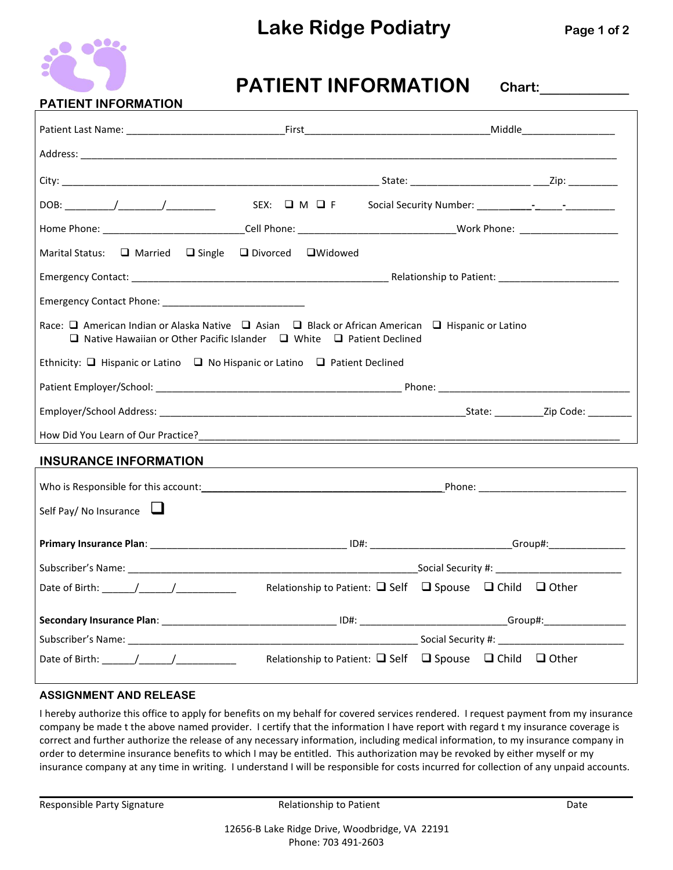# **Lake Ridge Podiatry Page <sup>1</sup> of <sup>2</sup>**



# **PATIENT INFORMATION Chart:**

| DOB: $/$ /                                                                                                                                                                                 |  |                                                                              |  |  |  |  |
|--------------------------------------------------------------------------------------------------------------------------------------------------------------------------------------------|--|------------------------------------------------------------------------------|--|--|--|--|
|                                                                                                                                                                                            |  |                                                                              |  |  |  |  |
| Marital Status: □ Married □ Single □ Divorced □ Widowed                                                                                                                                    |  |                                                                              |  |  |  |  |
|                                                                                                                                                                                            |  |                                                                              |  |  |  |  |
|                                                                                                                                                                                            |  |                                                                              |  |  |  |  |
| Race: □ American Indian or Alaska Native □ Asian □ Black or African American □ Hispanic or Latino<br>$\Box$ Native Hawaiian or Other Pacific Islander $\Box$ White $\Box$ Patient Declined |  |                                                                              |  |  |  |  |
| Ethnicity: $\Box$ Hispanic or Latino $\Box$ No Hispanic or Latino $\Box$ Patient Declined                                                                                                  |  |                                                                              |  |  |  |  |
|                                                                                                                                                                                            |  |                                                                              |  |  |  |  |
|                                                                                                                                                                                            |  |                                                                              |  |  |  |  |
|                                                                                                                                                                                            |  |                                                                              |  |  |  |  |
| <b>INSURANCE INFORMATION</b>                                                                                                                                                               |  |                                                                              |  |  |  |  |
|                                                                                                                                                                                            |  |                                                                              |  |  |  |  |
| Self Pay/ No Insurance $\Box$                                                                                                                                                              |  |                                                                              |  |  |  |  |
|                                                                                                                                                                                            |  |                                                                              |  |  |  |  |
|                                                                                                                                                                                            |  |                                                                              |  |  |  |  |
| Date of Birth: $\qquad$ / $\qquad$ /                                                                                                                                                       |  | Relationship to Patient: $\Box$ Self $\Box$ Spouse $\Box$ Child $\Box$ Other |  |  |  |  |
|                                                                                                                                                                                            |  |                                                                              |  |  |  |  |
|                                                                                                                                                                                            |  |                                                                              |  |  |  |  |
| Date of Birth: $\frac{1}{\sqrt{1-\frac{1}{2}}}\left\{\frac{1}{\sqrt{1-\frac{1}{2}}}\right\}$                                                                                               |  | Relationship to Patient: $\Box$ Self $\Box$ Spouse $\Box$ Child $\Box$ Other |  |  |  |  |

#### **ASSIGNMENT AND RELEASE**

I hereby authorize this office to apply for benefits on my behalf for covered services rendered. I request payment from my insurance company be made tthe above named provider. I certify that the information I have report with regard t my insurance coverage is correct and further authorize the release of any necessary information, including medical information, to myinsurance company in order to determine insurance benefits to which I may be entitled. This authorization may be revoked by either myself or my insurance company at any time in writing. I understand I will be responsible for costs incurred for collection of any unpaid accounts.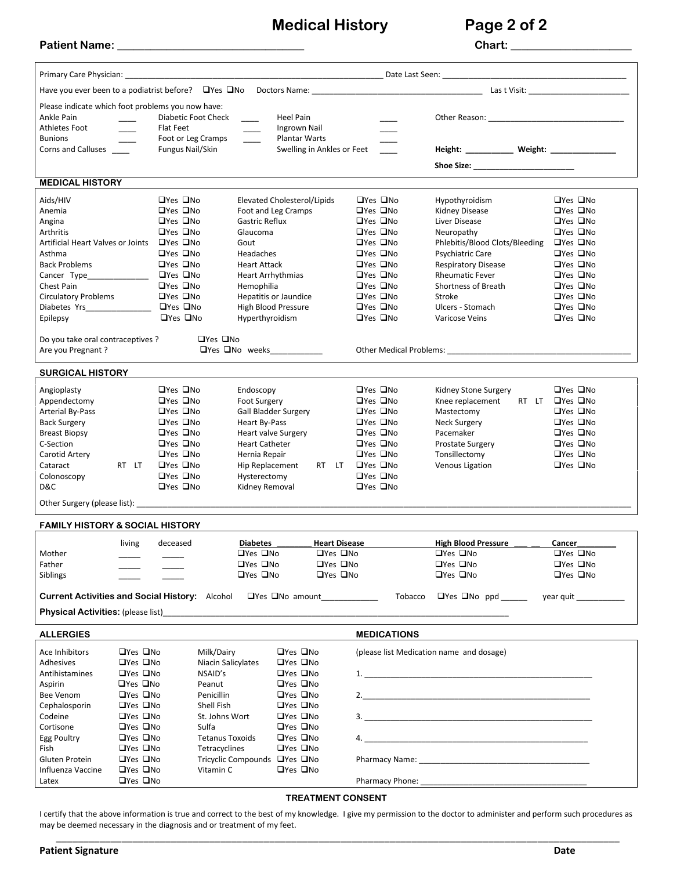**Medical History Page 2 of 2**

| <b>Patient Name:</b> |  |  |
|----------------------|--|--|
|                      |  |  |

 $\text{Chart:}\_\_\_\_\_\_\_\_$ 

| Primary Care Physician: North America and America and America and America and America and America and America and America and America and America and America and America and America and America and America and America and |                      |                          |                        |                                       |                      |                                            |                      |                                              |                                                                                                                                                                                                                                    |                      |  |
|-------------------------------------------------------------------------------------------------------------------------------------------------------------------------------------------------------------------------------|----------------------|--------------------------|------------------------|---------------------------------------|----------------------|--------------------------------------------|----------------------|----------------------------------------------|------------------------------------------------------------------------------------------------------------------------------------------------------------------------------------------------------------------------------------|----------------------|--|
|                                                                                                                                                                                                                               |                      |                          |                        |                                       |                      |                                            |                      |                                              |                                                                                                                                                                                                                                    |                      |  |
| Please indicate which foot problems you now have:                                                                                                                                                                             |                      |                          |                        |                                       |                      |                                            |                      |                                              |                                                                                                                                                                                                                                    |                      |  |
| Ankle Pain                                                                                                                                                                                                                    |                      | Diabetic Foot Check      |                        |                                       | Heel Pain            |                                            |                      |                                              | Other Reason: Network and Separate and Separate and Separate and Separate and Separate and Separate and Separate and Separate and Separate and Separate and Separate and Separate and Separate and Separate and Separate and S     |                      |  |
| Athletes Foot                                                                                                                                                                                                                 |                      | <b>Flat Feet</b>         |                        |                                       | Ingrown Nail         |                                            |                      |                                              |                                                                                                                                                                                                                                    |                      |  |
| <b>Bunions</b>                                                                                                                                                                                                                |                      | Foot or Leg Cramps _____ |                        |                                       | Plantar Warts        |                                            |                      |                                              |                                                                                                                                                                                                                                    |                      |  |
| Corns and Calluses                                                                                                                                                                                                            |                      | Fungus Nail/Skin         |                        |                                       |                      | Swelling in Ankles or Feet                 |                      |                                              | Height: ____________ Weight: ________________                                                                                                                                                                                      |                      |  |
|                                                                                                                                                                                                                               |                      |                          |                        |                                       |                      |                                            |                      |                                              | Shoe Size: _________________________                                                                                                                                                                                               |                      |  |
| <b>MEDICAL HISTORY</b>                                                                                                                                                                                                        |                      |                          |                        |                                       |                      |                                            |                      |                                              |                                                                                                                                                                                                                                    |                      |  |
| Aids/HIV                                                                                                                                                                                                                      |                      | $\Box$ Yes $\Box$ No     |                        | Elevated Cholesterol/Lipids           |                      |                                            |                      | $\Box$ Yes $\Box$ No                         | Hypothyroidism                                                                                                                                                                                                                     | $\Box$ Yes $\Box$ No |  |
| Anemia                                                                                                                                                                                                                        |                      | □Yes □No                 |                        | Foot and Leg Cramps                   |                      |                                            |                      | □Yes □No                                     | Kidney Disease                                                                                                                                                                                                                     | □Yes □No             |  |
| Angina                                                                                                                                                                                                                        |                      | □Yes □No                 |                        | Gastric Reflux                        |                      |                                            |                      | $\Box$ Yes $\Box$ No                         | Liver Disease                                                                                                                                                                                                                      | $\Box$ Yes $\Box$ No |  |
| Arthritis                                                                                                                                                                                                                     |                      | $\Box$ Yes $\Box$ No     |                        | Glaucoma                              |                      |                                            |                      | $\Box$ Yes $\Box$ No                         | Neuropathy                                                                                                                                                                                                                         | $\Box$ Yes $\Box$ No |  |
| Artificial Heart Valves or Joints                                                                                                                                                                                             |                      | $\Box$ Yes $\Box$ No     |                        | Gout                                  |                      |                                            |                      | □Yes □No                                     | Phlebitis/Blood Clots/Bleeding □ Yes □ No                                                                                                                                                                                          |                      |  |
| Asthma                                                                                                                                                                                                                        |                      | $\Box$ Yes $\Box$ No     |                        | Headaches                             |                      |                                            |                      | $\Box$ Yes $\Box$ No                         | Psychiatric Care                                                                                                                                                                                                                   | $\Box$ Yes $\Box$ No |  |
| Back Problems                                                                                                                                                                                                                 |                      | $\Box$ Yes $\Box$ No     |                        | <b>Heart Attack</b>                   |                      |                                            | □Yes □No             |                                              | Respiratory Disease                                                                                                                                                                                                                | $\Box$ Yes $\Box$ No |  |
| Cancer Type______                                                                                                                                                                                                             |                      | $\Box$ Yes $\Box$ No     |                        | Heart Arrhythmias                     |                      |                                            |                      | □Yes □No                                     | <b>Rheumatic Fever</b>                                                                                                                                                                                                             | $\Box$ Yes $\Box$ No |  |
| Chest Pain                                                                                                                                                                                                                    |                      | $\Box$ Yes $\Box$ No     |                        | Hemophilia                            |                      |                                            | $\Box$ Yes $\Box$ No |                                              | Shortness of Breath                                                                                                                                                                                                                | $\Box$ Yes $\Box$ No |  |
| <b>Circulatory Problems</b>                                                                                                                                                                                                   |                      | □Yes □No                 |                        | <b>Hepatitis or Jaundice</b>          |                      |                                            | □Yes □No             |                                              | Stroke                                                                                                                                                                                                                             | $\Box$ Yes $\Box$ No |  |
| Diabetes Yrs______________                                                                                                                                                                                                    |                      | □Yes □No                 |                        | High Blood Pressure                   |                      |                                            | □Yes □No             |                                              | Ulcers - Stomach                                                                                                                                                                                                                   | $\Box$ Yes $\Box$ No |  |
| Epilepsy                                                                                                                                                                                                                      |                      | $\Box$ Yes $\Box$ No     |                        | Hyperthyroidism                       |                      |                                            |                      | $\Box$ Yes $\Box$ No                         | Varicose Veins                                                                                                                                                                                                                     | $\Box$ Yes $\Box$ No |  |
|                                                                                                                                                                                                                               |                      |                          |                        |                                       |                      |                                            |                      |                                              |                                                                                                                                                                                                                                    |                      |  |
| Do you take oral contraceptives ?                                                                                                                                                                                             |                      |                          | $\Box$ Yes $\Box$ No   |                                       |                      |                                            |                      |                                              |                                                                                                                                                                                                                                    |                      |  |
| Are you Pregnant?                                                                                                                                                                                                             |                      |                          |                        | $\Box$ Yes $\Box$ No weeks            |                      |                                            |                      |                                              | Other Medical Problems: The Contract of the Medical Problems:                                                                                                                                                                      |                      |  |
| <b>SURGICAL HISTORY</b>                                                                                                                                                                                                       |                      |                          |                        |                                       |                      |                                            |                      |                                              |                                                                                                                                                                                                                                    |                      |  |
|                                                                                                                                                                                                                               |                      | $\Box$ Yes $\Box$ No     |                        |                                       |                      |                                            | $\Box$ Yes $\Box$ No |                                              |                                                                                                                                                                                                                                    | $\Box$ Yes $\Box$ No |  |
| Angioplasty                                                                                                                                                                                                                   |                      | □Yes □No                 |                        | Endoscopy                             |                      |                                            |                      |                                              | Kidney Stone Surgery                                                                                                                                                                                                               |                      |  |
| Appendectomy                                                                                                                                                                                                                  |                      | $\Box$ Yes $\Box$ No     |                        | <b>Foot Surgery</b>                   |                      |                                            |                      | $\Box$ Yes $\Box$ No<br>$\Box$ Yes $\Box$ No | Knee replacement RT LT □Yes □No                                                                                                                                                                                                    | $\Box$ Yes $\Box$ No |  |
| Arterial By-Pass<br><b>Back Surgery</b>                                                                                                                                                                                       |                      | $\Box$ Yes $\Box$ No     |                        | Gall Bladder Surgery<br>Heart By-Pass |                      |                                            | □Yes □No             |                                              | Mastectomy<br>Neck Surgery                                                                                                                                                                                                         | $\Box$ Yes $\Box$ No |  |
| <b>Breast Biopsy</b>                                                                                                                                                                                                          |                      | $\Box$ Yes $\Box$ No     |                        | <b>Heart valve Surgery</b>            |                      |                                            |                      | $\Box$ Yes $\Box$ No                         | Pacemaker                                                                                                                                                                                                                          | $\Box$ Yes $\Box$ No |  |
| C-Section                                                                                                                                                                                                                     |                      | $\Box$ Yes $\Box$ No     |                        | <b>Heart Catheter</b>                 |                      |                                            | $\Box$ Yes $\Box$ No |                                              | Prostate Surgery                                                                                                                                                                                                                   | $\Box$ Yes $\Box$ No |  |
| Carotid Artery                                                                                                                                                                                                                |                      | □Yes □No                 |                        | Hernia Repair                         |                      |                                            | $\Box$ Yes $\Box$ No |                                              | Tonsillectomy                                                                                                                                                                                                                      | □Yes □No             |  |
| Cataract                                                                                                                                                                                                                      | RT LT                | $\Box$ Yes $\Box$ No     |                        |                                       |                      | Hip Replacement RT LT $\Box$ Yes $\Box$ No |                      |                                              | Venous Ligation                                                                                                                                                                                                                    | $\Box$ Yes $\Box$ No |  |
| Colonoscopy                                                                                                                                                                                                                   |                      | $\Box$ Yes $\Box$ No     |                        | Hysterectomy                          |                      |                                            | $\Box$ Yes $\Box$ No |                                              |                                                                                                                                                                                                                                    |                      |  |
| D&C                                                                                                                                                                                                                           |                      | $\Box$ Yes $\Box$ No     |                        | Kidney Removal                        |                      |                                            | $\Box$ Yes $\Box$ No |                                              |                                                                                                                                                                                                                                    |                      |  |
| Other Surgery (please list): 2000 2010 2021                                                                                                                                                                                   |                      |                          |                        |                                       |                      |                                            |                      |                                              |                                                                                                                                                                                                                                    |                      |  |
|                                                                                                                                                                                                                               |                      |                          |                        |                                       |                      |                                            |                      |                                              |                                                                                                                                                                                                                                    |                      |  |
| <b>FAMILY HISTORY &amp; SOCIAL HISTORY</b>                                                                                                                                                                                    |                      |                          |                        |                                       |                      |                                            |                      |                                              |                                                                                                                                                                                                                                    |                      |  |
|                                                                                                                                                                                                                               | living               | deceased                 |                        | <b>Diabetes</b>                       |                      | <b>Heart Disease</b>                       |                      |                                              | <b>High Blood Pressure</b>                                                                                                                                                                                                         | Cancer               |  |
| Mother                                                                                                                                                                                                                        |                      |                          |                        | □Yes □No                              |                      | □Yes □No                                   |                      |                                              | □Yes □No                                                                                                                                                                                                                           | □Yes □No             |  |
| Father                                                                                                                                                                                                                        |                      |                          |                        | $\Box$ Yes $\Box$ No                  |                      | $\Box$ Yes $\Box$ No                       |                      |                                              | $\Box$ Yes $\Box$ No                                                                                                                                                                                                               | $\Box$ Yes $\Box$ No |  |
| Siblings                                                                                                                                                                                                                      |                      |                          |                        | $\Box$ Yes $\Box$ No                  |                      | $\Box$ Yes $\Box$ No                       |                      |                                              | $\Box$ Yes $\Box$ No                                                                                                                                                                                                               | $\Box$ Yes $\Box$ No |  |
| Current Activities and Social History: Alcohol<br>QYes QNo amount<br>_______________                                                                                                                                          |                      |                          |                        |                                       |                      |                                            |                      |                                              | Tobacco $\Box$ Yes $\Box$ No ppd                                                                                                                                                                                                   | year quit            |  |
|                                                                                                                                                                                                                               |                      |                          |                        |                                       |                      |                                            |                      |                                              |                                                                                                                                                                                                                                    |                      |  |
|                                                                                                                                                                                                                               |                      |                          |                        |                                       |                      |                                            |                      |                                              |                                                                                                                                                                                                                                    |                      |  |
| <b>ALLERGIES</b>                                                                                                                                                                                                              |                      |                          |                        |                                       |                      |                                            |                      | <b>MEDICATIONS</b>                           |                                                                                                                                                                                                                                    |                      |  |
| Ace Inhibitors                                                                                                                                                                                                                | $\Box$ Yes $\Box$ No |                          | Milk/Dairy             |                                       | $\Box$ Yes $\Box$ No |                                            |                      |                                              | (please list Medication name and dosage)                                                                                                                                                                                           |                      |  |
| Adhesives                                                                                                                                                                                                                     | $\Box$ Yes $\Box$ No |                          | Niacin Salicylates     |                                       | $\Box$ Yes $\Box$ No |                                            |                      |                                              |                                                                                                                                                                                                                                    |                      |  |
| Antihistamines                                                                                                                                                                                                                | $\Box$ Yes $\Box$ No |                          | NSAID's                |                                       | □Yes □No             |                                            |                      |                                              | $\mathbf{1}$ , and the contract of the contract of the contract of the contract of the contract of the contract of the contract of the contract of the contract of the contract of the contract of the contract of the contract of |                      |  |
| Aspirin                                                                                                                                                                                                                       | □Yes □No             |                          | Peanut                 |                                       | $\Box$ Yes $\Box$ No |                                            |                      |                                              |                                                                                                                                                                                                                                    |                      |  |
| Bee Venom                                                                                                                                                                                                                     | $\Box$ Yes $\Box$ No |                          | Penicillin             |                                       | □Yes □No             |                                            |                      |                                              |                                                                                                                                                                                                                                    |                      |  |
| Cephalosporin                                                                                                                                                                                                                 | □Yes □No             |                          | Shell Fish             |                                       | $\Box$ Yes $\Box$ No |                                            |                      |                                              |                                                                                                                                                                                                                                    |                      |  |
| Codeine                                                                                                                                                                                                                       | $\Box$ Yes $\Box$ No |                          | St. Johns Wort         |                                       | □Yes □No             |                                            |                      |                                              | 3.                                                                                                                                                                                                                                 |                      |  |
| Cortisone                                                                                                                                                                                                                     | $\Box$ Yes $\Box$ No |                          | Sulfa                  |                                       | $\Box$ Yes $\Box$ No |                                            |                      |                                              |                                                                                                                                                                                                                                    |                      |  |
| Egg Poultry                                                                                                                                                                                                                   | $\Box$ Yes $\Box$ No |                          | <b>Tetanus Toxoids</b> |                                       | $\Box$ Yes $\Box$ No |                                            |                      |                                              |                                                                                                                                                                                                                                    |                      |  |
| Fish                                                                                                                                                                                                                          | $\Box$ Yes $\Box$ No |                          | Tetracyclines          |                                       | □Yes □No             |                                            |                      |                                              |                                                                                                                                                                                                                                    |                      |  |
| Gluten Protein                                                                                                                                                                                                                | $\Box$ Yes $\Box$ No |                          |                        | Tricyclic Compounds □ Yes □ No        |                      |                                            |                      |                                              |                                                                                                                                                                                                                                    |                      |  |
| Influenza Vaccine                                                                                                                                                                                                             | $\Box$ Yes $\Box$ No |                          | Vitamin C              |                                       | □Yes □No             |                                            |                      |                                              |                                                                                                                                                                                                                                    |                      |  |
| Latex                                                                                                                                                                                                                         | $\Box$ Yes $\Box$ No |                          |                        |                                       |                      |                                            |                      |                                              |                                                                                                                                                                                                                                    |                      |  |
|                                                                                                                                                                                                                               |                      |                          |                        |                                       |                      |                                            |                      |                                              |                                                                                                                                                                                                                                    |                      |  |

#### **TREATMENT CONSENT**

I certify that the above information is true and correct to the best of my knowledge. I give my permission to the doctor to administer and perform such procedures as may be deemed necessary in the diagnosis and or treatment of my feet.

\_\_\_\_\_\_\_\_\_\_\_\_\_\_\_\_\_\_\_\_\_\_\_\_\_\_\_\_\_\_\_\_\_\_\_\_\_\_\_\_\_\_\_\_\_\_\_\_\_\_\_\_\_\_\_\_\_\_\_\_\_\_\_\_\_\_\_\_\_\_\_\_\_\_\_\_\_\_\_\_\_\_\_\_\_\_\_\_\_\_\_\_\_\_\_\_\_\_\_\_\_\_\_